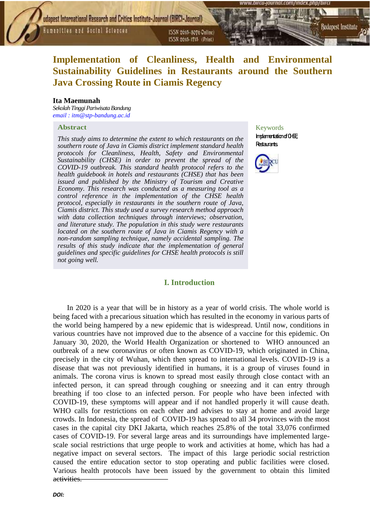**Humanities and Social Sciences** 

**[journal.com/index.php/birci](http://www.bircu-journal.com/index.php/birci).journal.com/index.php/birci.journal.com/index.php/birci.journal.com/index.php/birci.journal.com/index.php/birci.journal.com/index.php/birci.journal.com/index.php/birci.journal.com/index.php/bir** ISSN 2615-1715 (Print)

# **Implementation of Cleanliness, Health and Environmental Sustainability Guidelines in Restaurants around the Southern Java Crossing Route in Ciamis Regency**

#### **Ita Maemunah**

*Sekolah Tinggi Pariwisata Bandung [email](mailto:zulkiflimusannipefendi@gmail.com) : itm@stp-bandung.ac.id*

#### **Abstract**

*This study aims to determine the extent to which restaurants on the southern route of Java in Ciamis district implement standard health protocols for Cleanliness, Health, Safety and Environmental Sustainability (CHSE) in order to prevent the spread of the COVID-19 outbreak. This standard health protocol refers to the health guidebook in hotels and restaurants (CHSE) that has been issued and published by the Ministry of Tourism and Creative Economy. This research was conducted as a measuring tool as a control reference in the implementation of the CHSE health protocol, especially in restaurants in the southern route of Java, Ciamis district. This study used a survey research method approach with data collection techniques through interviews; observation, and literature study. The population in this study were restaurants located on the southern route of Java in Ciamis Regency with a non-random sampling technique, namely accidental sampling. The results of this study indicate that the implementation of general guidelines and specific guidelines for CHSE health protocols is still not going well.*

#### **I. Introduction**

Keywords  $Imderitation of  $0H$$ **Restaurants.** 

*Budapest International Research and Critics Institute-Journal (BIRCI-Journal)*

*Volume 4, No 2, May 2021, Page: 2385-2393*



In 2020 is a year that will be in history as a year of world crisis. The whole world is being faced with a precarious situation which has resulted in the economy in various parts of the world being hampered by a new epidemic that is widespread. Until now, conditions in various countries have not improved due to the absence of a vaccine for this epidemic. On January 30, 2020, the World Health Organization or shortened to WHO announced an outbreak of a new coronavirus or often known as COVID-19, which originated in China, precisely in the city of Wuhan, which then spread to international levels. COVID-19 is a disease that was not previously identified in humans, it is a group of viruses found in animals. The corona virus is known to spread most easily through close contact with an infected person, it can spread through coughing or sneezing and it can entry through breathing if too close to an infected person. For people who have been infected with COVID-19, these symptoms will appear and if not handled properly it will cause death. WHO calls for restrictions on each other and advises to stay at home and avoid large crowds. In Indonesia, the spread of COVID-19 has spread to all 34 provinces with the most cases in the capital city DKI Jakarta, which reaches 25.8% of the total 33,076 confirmed cases of COVID-19. For several large areas and its surroundings have implemented largescale social restrictions that urge people to work and activities at home, which has had a negative impact on several sectors. The impact of this large periodic social restriction caused the entire education sector to stop operating and public facilities were closed. Various health protocols have been issued by the government to obtain this limited activities.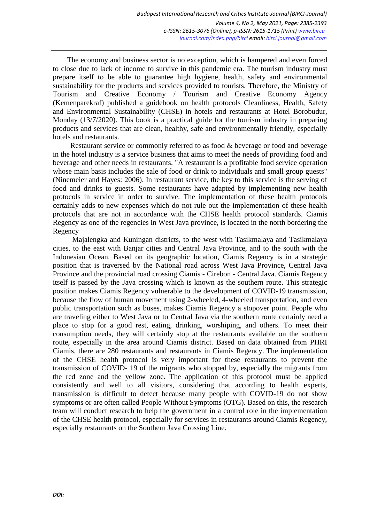The economy and business sector is no exception, which is hampered and even forced to close due to lack of income to survive in this pandemic era. The tourism industry must prepare itself to be able to guarantee high hygiene, health, safety and environmental sustainability for the products and services provided to tourists. Therefore, the Ministry of Tourism and Creative Economy / Tourism and Creative Economy Agency (Kemenparekraf) published a guidebook on health protocols Cleanliness, Health, Safety and Environmental Sustainability (CHSE) in hotels and restaurants at Hotel Borobudur, Monday (13/7/2020). This book is a practical guide for the tourism industry in preparing products and services that are clean, healthy, safe and environmentally friendly, especially hotels and restaurants.

Restaurant service or commonly referred to as food & beverage or food and beverage in the hotel industry is a service business that aims to meet the needs of providing food and beverage and other needs in restaurants. "A restaurant is a profitable food service operation whose main basis includes the sale of food or drink to individuals and small group guests" (Ninemeier and Hayes: 2006). In restaurant service, the key to this service is the serving of food and drinks to guests. Some restaurants have adapted by implementing new health protocols in service in order to survive. The implementation of these health protocols certainly adds to new expenses which do not rule out the implementation of these health protocols that are not in accordance with the CHSE health protocol standards. Ciamis Regency as one of the regencies in West Java province, is located in the north bordering the Regency

Majalengka and Kuningan districts, to the west with Tasikmalaya and Tasikmalaya cities, to the east with Banjar cities and Central Java Province, and to the south with the Indonesian Ocean. Based on its geographic location, Ciamis Regency is in a strategic position that is traversed by the National road across West Java Province, Central Java Province and the provincial road crossing Ciamis - Cirebon - Central Java. Ciamis Regency itself is passed by the Java crossing which is known as the southern route. This strategic position makes Ciamis Regency vulnerable to the development of COVID-19 transmission, because the flow of human movement using 2-wheeled, 4-wheeled transportation, and even public transportation such as buses, makes Ciamis Regency a stopover point. People who are traveling either to West Java or to Central Java via the southern route certainly need a place to stop for a good rest, eating, drinking, worshiping, and others. To meet their consumption needs, they will certainly stop at the restaurants available on the southern route, especially in the area around Ciamis district. Based on data obtained from PHRI Ciamis, there are 280 restaurants and restaurants in Ciamis Regency. The implementation of the CHSE health protocol is very important for these restaurants to prevent the transmission of COVID- 19 of the migrants who stopped by, especially the migrants from the red zone and the yellow zone. The application of this protocol must be applied consistently and well to all visitors, considering that according to health experts, transmission is difficult to detect because many people with COVID-19 do not show symptoms or are often called People Without Symptoms (OTG). Based on this, the research team will conduct research to help the government in a control role in the implementation of the CHSE health protocol, especially for services in restaurants around Ciamis Regency, especially restaurants on the Southern Java Crossing Line.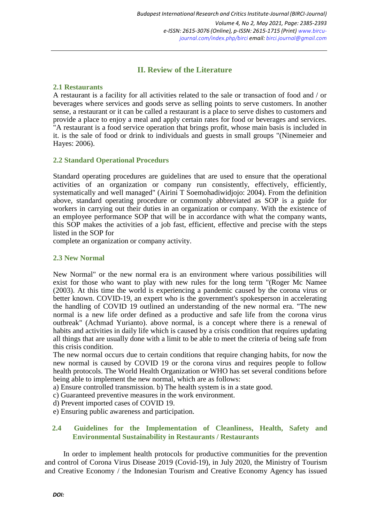# **II. Review of the Literature**

#### **2.1 Restaurants**

A restaurant is a facility for all activities related to the sale or transaction of food and / or beverages where services and goods serve as selling points to serve customers. In another sense, a restaurant or it can be called a restaurant is a place to serve dishes to customers and provide a place to enjoy a meal and apply certain rates for food or beverages and services. "A restaurant is a food service operation that brings profit, whose main basis is included in it. is the sale of food or drink to individuals and guests in small groups "(Ninemeier and Hayes: 2006).

#### **2.2 Standard Operational Procedurs**

Standard operating procedures are guidelines that are used to ensure that the operational activities of an organization or company run consistently, effectively, efficiently, systematically and well managed" (Airini T Soemohadiwidjojo: 2004). From the definition above, standard operating procedure or commonly abbreviated as SOP is a guide for workers in carrying out their duties in an organization or company. With the existence of an employee performance SOP that will be in accordance with what the company wants, this SOP makes the activities of a job fast, efficient, effective and precise with the steps listed in the SOP for

complete an organization or company activity.

### **2.3 New Normal**

New Normal" or the new normal era is an environment where various possibilities will exist for those who want to play with new rules for the long term "(Roger Mc Namee (2003). At this time the world is experiencing a pandemic caused by the corona virus or better known. COVID-19, an expert who is the government's spokesperson in accelerating the handling of COVID 19 outlined an understanding of the new normal era. "The new normal is a new life order defined as a productive and safe life from the corona virus outbreak" (Achmad Yurianto). above normal, is a concept where there is a renewal of habits and activities in daily life which is caused by a crisis condition that requires updating all things that are usually done with a limit to be able to meet the criteria of being safe from this crisis condition.

The new normal occurs due to certain conditions that require changing habits, for now the new normal is caused by COVID 19 or the corona virus and requires people to follow health protocols. The World Health Organization or WHO has set several conditions before being able to implement the new normal, which are as follows:

a) Ensure controlled transmission. b) The health system is in a state good.

c) Guaranteed preventive measures in the work environment.

- d) Prevent imported cases of COVID 19.
- e) Ensuring public awareness and participation.

### **2.4 Guidelines for the Implementation of Cleanliness, Health, Safety and Environmental Sustainability in Restaurants / Restaurants**

In order to implement health protocols for productive communities for the prevention and control of Corona Virus Disease 2019 (Covid-19), in July 2020, the Ministry of Tourism and Creative Economy / the Indonesian Tourism and Creative Economy Agency has issued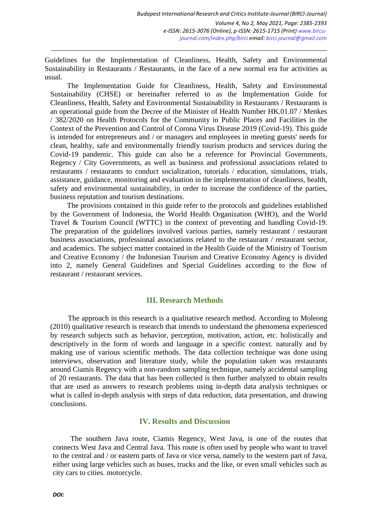Guidelines for the Implementation of Cleanliness, Health, Safety and Environmental Sustainability in Restaurants / Restaurants, in the face of a new normal era for activities as usual.

The Implementation Guide for Cleanliness, Health, Safety and Environmental Sustainability (CHSE) or hereinafter referred to as the Implementation Guide for Cleanliness, Health, Safety and Environmental Sustainability in Restaurants / Restaurants is an operational guide from the Decree of the Minister of Health Number HK.01.07 / Menkes / 382/2020 on Health Protocols for the Community in Public Places and Facilities in the Context of the Prevention and Control of Corona Virus Disease 2019 (Covid-19). This guide is intended for entrepreneurs and / or managers and employees in meeting guests' needs for clean, healthy, safe and environmentally friendly tourism products and services during the Covid-19 pandemic. This guide can also be a reference for Provincial Governments, Regency / City Governments, as well as business and professional associations related to restaurants / restaurants to conduct socialization, tutorials / education, simulations, trials, assistance, guidance, monitoring and evaluation in the implementation of cleanliness, health, safety and environmental sustainability, in order to increase the confidence of the parties, business reputation and tourism destinations.

The provisions contained in this guide refer to the protocols and guidelines established by the Government of Indonesia, the World Health Organization (WHO), and the World Travel & Tourism Council (WTTC) in the context of preventing and handling Covid-19. The preparation of the guidelines involved various parties, namely restaurant / restaurant business associations, professional associations related to the restaurant / restaurant sector, and academics. The subject matter contained in the Health Guide of the Ministry of Tourism and Creative Economy / the Indonesian Tourism and Creative Economy Agency is divided into 2, namely General Guidelines and Special Guidelines according to the flow of restaurant / restaurant services.

#### **III. Research Methods**

 The approach in this research is a qualitative research method. According to Moleong (2010) qualitative research is research that intends to understand the phenomena experienced by research subjects such as behavior, perception, motivation, action, etc. holistically and descriptively in the form of words and language in a specific context. naturally and by making use of various scientific methods. The data collection technique was done using interviews, observation and literature study, while the population taken was restaurants around Ciamis Regency with a non-random sampling technique, namely accidental sampling of 20 restaurants. The data that has been collected is then further analyzed to obtain results that are used as answers to research problems using in-depth data analysis techniques or what is called in-depth analysis with steps of data reduction, data presentation, and drawing conclusions.

#### **IV. Results and Discussion**

The southern Java route, Ciamis Regency, West Java, is one of the routes that connects West Java and Central Java. This route is often used by people who want to travel to the central and / or eastern parts of Java or vice versa, namely to the western part of Java, either using large vehicles such as buses, trucks and the like, or even small vehicles such as city cars to cities. motorcycle.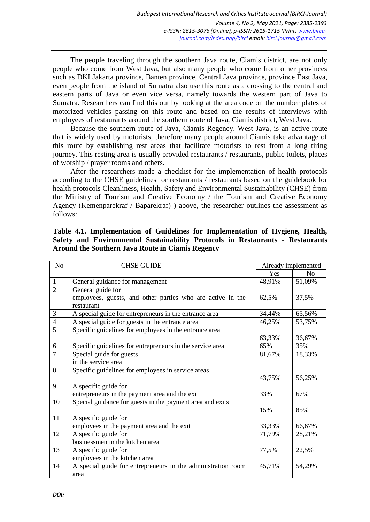The people traveling through the southern Java route, Ciamis district, are not only people who come from West Java, but also many people who come from other provinces such as DKI Jakarta province, Banten province, Central Java province, province East Java, even people from the island of Sumatra also use this route as a crossing to the central and eastern parts of Java or even vice versa, namely towards the western part of Java to Sumatra. Researchers can find this out by looking at the area code on the number plates of motorized vehicles passing on this route and based on the results of interviews with employees of restaurants around the southern route of Java, Ciamis district, West Java.

Because the southern route of Java, Ciamis Regency, West Java, is an active route that is widely used by motorists, therefore many people around Ciamis take advantage of this route by establishing rest areas that facilitate motorists to rest from a long tiring journey. This resting area is usually provided restaurants / restaurants, public toilets, places of worship / prayer rooms and others.

After the researchers made a checklist for the implementation of health protocols according to the CHSE guidelines for restaurants / restaurants based on the guidebook for health protocols Cleanliness, Health, Safety and Environmental Sustainability (CHSE) from the Ministry of Tourism and Creative Economy / the Tourism and Creative Economy Agency (Kemenparekraf / Baparekraf) ) above, the researcher outlines the assessment as follows:

| N <sub>o</sub> | <b>CHSE GUIDE</b>                                            | Already implemented |                |
|----------------|--------------------------------------------------------------|---------------------|----------------|
|                |                                                              | Yes                 | N <sub>0</sub> |
| $\mathbf{1}$   | General guidance for management                              | 48,91%              | 51,09%         |
| $\overline{2}$ | General guide for                                            |                     |                |
|                | employees, guests, and other parties who are active in the   | 62,5%               | 37,5%          |
|                | restaurant                                                   |                     |                |
| 3              | A special guide for entrepreneurs in the entrance area       | 34,44%              | 65,56%         |
| $\overline{4}$ | A special guide for guests in the entrance area              | 46,25%              | 53,75%         |
| 5              | Specific guidelines for employees in the entrance area       |                     |                |
|                |                                                              | 63,33%              | 36,67%         |
| 6              | Specific guidelines for entrepreneurs in the service area    | 65%                 | 35%            |
| $\overline{7}$ | Special guide for guests                                     | 81,67%              | 18,33%         |
|                | in the service area                                          |                     |                |
| 8              | Specific guidelines for employees in service areas           |                     |                |
|                |                                                              | 43,75%              | 56,25%         |
| 9              | A specific guide for                                         |                     |                |
|                | entrepreneurs in the payment area and the exi                | 33%                 | 67%            |
| 10             | Special guidance for guests in the payment area and exits    |                     |                |
|                |                                                              | 15%                 | 85%            |
| 11             | A specific guide for                                         |                     |                |
|                | employees in the payment area and the exit                   | 33,33%              | 66,67%         |
| 12             | A specific guide for                                         | 71,79%              | 28,21%         |
|                | businessmen in the kitchen area                              |                     |                |
| 13             | A specific guide for                                         | 77,5%               | 22,5%          |
|                | employees in the kitchen area                                |                     |                |
| 14             | A special guide for entrepreneurs in the administration room | 45,71%              | 54,29%         |
|                | area                                                         |                     |                |

### **Table 4.1. Implementation of Guidelines for Implementation of Hygiene, Health, Safety and Environmental Sustainability Protocols in Restaurants - Restaurants Around the Southern Java Route in Ciamis Regency**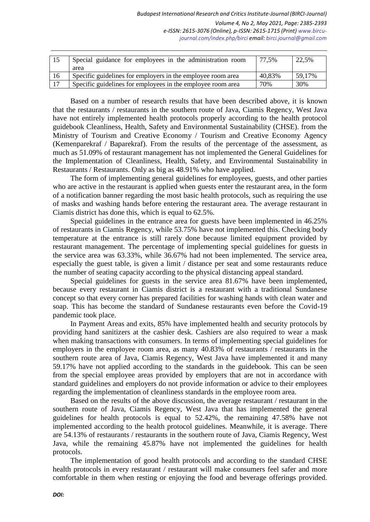| -15 | Special guidance for employees in the administration room   | 77.5%  | 22,5%  |
|-----|-------------------------------------------------------------|--------|--------|
|     | area                                                        |        |        |
| 16  | Specific guidelines for employers in the employee room area | 40,83% | 59.17% |
| 17  | Specific guidelines for employees in the employee room area | 70%    | 30%    |

Based on a number of research results that have been described above, it is known that the restaurants / restaurants in the southern route of Java, Ciamis Regency, West Java have not entirely implemented health protocols properly according to the health protocol guidebook Cleanliness, Health, Safety and Environmental Sustainability (CHSE). from the Ministry of Tourism and Creative Economy / Tourism and Creative Economy Agency (Kemenparekraf / Baparekraf). From the results of the percentage of the assessment, as much as 51.09% of restaurant management has not implemented the General Guidelines for the Implementation of Cleanliness, Health, Safety, and Environmental Sustainability in Restaurants / Restaurants. Only as big as 48.91% who have applied.

The form of implementing general guidelines for employees, guests, and other parties who are active in the restaurant is applied when guests enter the restaurant area, in the form of a notification banner regarding the most basic health protocols, such as requiring the use of masks and washing hands before entering the restaurant area. The average restaurant in Ciamis district has done this, which is equal to 62.5%.

Special guidelines in the entrance area for guests have been implemented in 46.25% of restaurants in Ciamis Regency, while 53.75% have not implemented this. Checking body temperature at the entrance is still rarely done because limited equipment provided by restaurant management. The percentage of implementing special guidelines for guests in the service area was 63.33%, while 36.67% had not been implemented. The service area, especially the guest table, is given a limit / distance per seat and some restaurants reduce the number of seating capacity according to the physical distancing appeal standard.

Special guidelines for guests in the service area 81.67% have been implemented, because every restaurant in Ciamis district is a restaurant with a traditional Sundanese concept so that every corner has prepared facilities for washing hands with clean water and soap. This has become the standard of Sundanese restaurants even before the Covid-19 pandemic took place.

In Payment Areas and exits, 85% have implemented health and security protocols by providing hand sanitizers at the cashier desk. Cashiers are also required to wear a mask when making transactions with consumers. In terms of implementing special guidelines for employers in the employee room area, as many 40.83% of restaurants / restaurants in the southern route area of Java, Ciamis Regency, West Java have implemented it and many 59.17% have not applied according to the standards in the guidebook. This can be seen from the special employee areas provided by employers that are not in accordance with standard guidelines and employers do not provide information or advice to their employees regarding the implementation of cleanliness standards in the employee room area.

Based on the results of the above discussion, the average restaurant / restaurant in the southern route of Java, Ciamis Regency, West Java that has implemented the general guidelines for health protocols is equal to 52.42%, the remaining 47.58% have not implemented according to the health protocol guidelines. Meanwhile, it is average. There are 54.13% of restaurants / restaurants in the southern route of Java, Ciamis Regency, West Java, while the remaining 45.87% have not implemented the guidelines for health protocols.

The implementation of good health protocols and according to the standard CHSE health protocols in every restaurant / restaurant will make consumers feel safer and more comfortable in them when resting or enjoying the food and beverage offerings provided.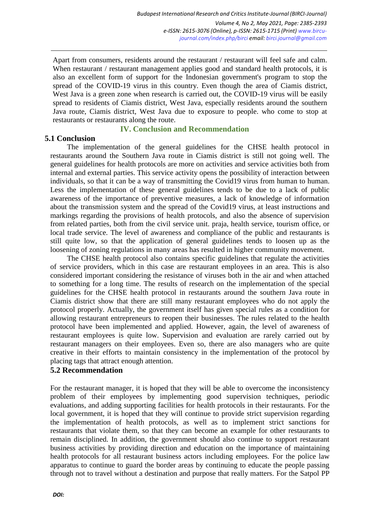Apart from consumers, residents around the restaurant / restaurant will feel safe and calm. When restaurant / restaurant management applies good and standard health protocols, it is also an excellent form of support for the Indonesian government's program to stop the spread of the COVID-19 virus in this country. Even though the area of Ciamis district, West Java is a green zone when research is carried out, the COVID-19 virus will be easily spread to residents of Ciamis district, West Java, especially residents around the southern Java route, Ciamis district, West Java due to exposure to people. who come to stop at restaurants or restaurants along the route.

**IV. Conclusion and Recommendation**

## **5.1 Conclusion**

The implementation of the general guidelines for the CHSE health protocol in restaurants around the Southern Java route in Ciamis district is still not going well. The general guidelines for health protocols are more on activities and service activities both from internal and external parties. This service activity opens the possibility of interaction between individuals, so that it can be a way of transmitting the Covid19 virus from human to human. Less the implementation of these general guidelines tends to be due to a lack of public awareness of the importance of preventive measures, a lack of knowledge of information about the transmission system and the spread of the Covid19 virus, at least instructions and markings regarding the provisions of health protocols, and also the absence of supervision from related parties, both from the civil service unit. praja, health service, tourism office, or local trade service. The level of awareness and compliance of the public and restaurants is still quite low, so that the application of general guidelines tends to loosen up as the loosening of zoning regulations in many areas has resulted in higher community movement.

The CHSE health protocol also contains specific guidelines that regulate the activities of service providers, which in this case are restaurant employees in an area. This is also considered important considering the resistance of viruses both in the air and when attached to something for a long time. The results of research on the implementation of the special guidelines for the CHSE health protocol in restaurants around the southern Java route in Ciamis district show that there are still many restaurant employees who do not apply the protocol properly. Actually, the government itself has given special rules as a condition for allowing restaurant entrepreneurs to reopen their businesses. The rules related to the health protocol have been implemented and applied. However, again, the level of awareness of restaurant employees is quite low. Supervision and evaluation are rarely carried out by restaurant managers on their employees. Even so, there are also managers who are quite creative in their efforts to maintain consistency in the implementation of the protocol by placing tags that attract enough attention.

# **5.2 Recommendation**

For the restaurant manager, it is hoped that they will be able to overcome the inconsistency problem of their employees by implementing good supervision techniques, periodic evaluations, and adding supporting facilities for health protocols in their restaurants. For the local government, it is hoped that they will continue to provide strict supervision regarding the implementation of health protocols, as well as to implement strict sanctions for restaurants that violate them, so that they can become an example for other restaurants to remain disciplined. In addition, the government should also continue to support restaurant business activities by providing direction and education on the importance of maintaining health protocols for all restaurant business actors including employees. For the police law apparatus to continue to guard the border areas by continuing to educate the people passing through not to travel without a destination and purpose that really matters. For the Satpol PP